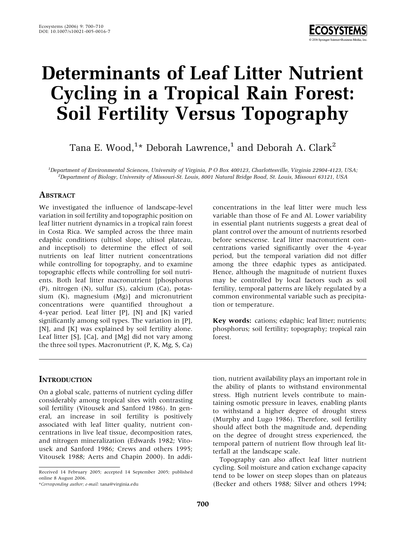

# Determinants of Leaf Litter Nutrient Cycling in a Tropical Rain Forest: Soil Fertility Versus Topography

Tana E. Wood, $^{1\star}$  Deborah Lawrence, $^{1}$  and Deborah A. Clark $^{2}$ 

1 Department of Environmental Sciences, University of Virginia, P O Box 400123, Charlottesville, Virginia 22904-4123, USA; <sup>2</sup>  ${}^{2}$ Department of Biology, University of Missouri-St. Louis, 8001 Natural Bridge Road, St. Louis, Missouri 63121, USA

#### **ABSTRACT**

We investigated the influence of landscape-level variation in soil fertility and topographic position on leaf litter nutrient dynamics in a tropical rain forest in Costa Rica. We sampled across the three main edaphic conditions (ultisol slope, ultisol plateau, and inceptisol) to determine the effect of soil nutrients on leaf litter nutrient concentrations while controlling for topography, and to examine topographic effects while controlling for soil nutrients. Both leaf litter macronutrient [phosphorus (P), nitrogen (N), sulfur (S), calcium (Ca), potassium (K), magnesium (Mg)] and micronutrient concentrations were quantified throughout a 4-year period. Leaf litter [P], [N] and [K] varied significantly among soil types. The variation in [P], [N], and [K] was explained by soil fertility alone. Leaf litter [S], [Ca], and [Mg] did not vary among the three soil types. Macronutrient (P, K, Mg, S, Ca)

## **INTRODUCTION**

On a global scale, patterns of nutrient cycling differ considerably among tropical sites with contrasting soil fertility (Vitousek and Sanford 1986). In general, an increase in soil fertility is positively associated with leaf litter quality, nutrient concentrations in live leaf tissue, decomposition rates, and nitrogen mineralization (Edwards 1982; Vitousek and Sanford 1986; Crews and others 1995; Vitousek 1988; Aerts and Chapin 2000). In addi-

\*Corresponding author; e-mail: tana@virginia.edu

concentrations in the leaf litter were much less variable than those of Fe and Al. Lower variability in essential plant nutrients suggests a great deal of plant control over the amount of nutrients resorbed before senescense. Leaf litter macronutrient concentrations varied significantly over the 4-year period, but the temporal variation did not differ among the three edaphic types as anticipated. Hence, although the magnitude of nutrient fluxes may be controlled by local factors such as soil fertility, temporal patterns are likely regulated by a common environmental variable such as precipitation or temperature.

Key words: cations; edaphic; leaf litter; nutrients; phosphorus; soil fertility; topography; tropical rain forest.

tion, nutrient availability plays an important role in the ability of plants to withstand environmental stress. High nutrient levels contribute to maintaining osmotic pressure in leaves, enabling plants to withstand a higher degree of drought stress (Murphy and Lugo 1986). Therefore, soil fertility should affect both the magnitude and, depending on the degree of drought stress experienced, the temporal pattern of nutrient flow through leaf litterfall at the landscape scale.

Topography can also affect leaf litter nutrient cycling. Soil moisture and cation exchange capacity tend to be lower on steep slopes than on plateaus (Becker and others 1988; Silver and others 1994;

Received 14 February 2005; accepted 14 September 2005; published online 8 August 2006.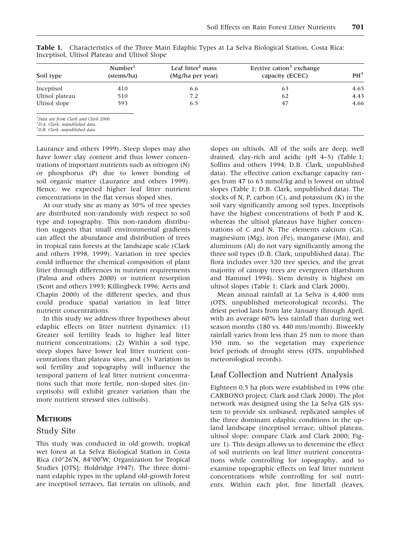| Soil type                                                                                                                                                                                                                                                                                                                                                | Number <sup>1</sup><br>(stems/ha) | Leaf litter <sup>2</sup> mass<br>(Mg/ha per year) | Eective cation <sup>3</sup> exchange<br>capacity (ECEC) | PH <sup>3</sup> |
|----------------------------------------------------------------------------------------------------------------------------------------------------------------------------------------------------------------------------------------------------------------------------------------------------------------------------------------------------------|-----------------------------------|---------------------------------------------------|---------------------------------------------------------|-----------------|
| Inceptisol                                                                                                                                                                                                                                                                                                                                               | 410                               | 6.6                                               | 63                                                      | 4.65            |
| Ultisol plateau                                                                                                                                                                                                                                                                                                                                          | 510                               | 7.2                                               | 62                                                      | 4.43            |
| Ultisol slope                                                                                                                                                                                                                                                                                                                                            | 593                               | 6.5                                               | 47                                                      | 4.66            |
| <sup>1</sup> Data are from Clark and Clark 2000.<br><sup>2</sup> D.A. Clark, unpublished data.<br>$\overline{3}$ $   \overline{1}$ $ \overline{2}$ $ \overline{3}$ $  \overline{4}$ $ \overline{2}$ $  \overline{4}$ $ \overline{2}$ $  \overline{4}$ $ \overline{4}$ $ \overline{2}$ $  \overline{4}$ $ \overline{4}$ $  \overline{4}$ $  \overline{4}$ |                                   |                                                   |                                                         |                 |

Table 1. Characteristics of the Three Main Edaphic Types at La Selva Biological Station, Costa Rica: Inceptisol, Ultisol Plateau and Ultisol Slope

3 D.B. Clark, unpublished data.

Laurance and others 1999). Steep slopes may also have lower clay content and thus lower concentrations of important nutrients such as nitrogen (N) or phosphorus (P) due to lower bonding of soil organic matter (Laurance and others 1999). Hence, we expected higher leaf litter nutrient concentrations in the flat versus sloped sites.

At our study site as many as 30% of tree species are distributed non-randomly with respect to soil type and topography. This non-random distribution suggests that small environmental gradients can affect the abundance and distribution of trees in tropical rain forests at the landscape scale (Clark and others 1998, 1999). Variation in tree species could influence the chemical composition of plant litter through differences in nutrient requirements (Palma and others 2000) or nutrient resorption (Scott and others 1993; Killingbeck 1996; Aerts and Chapin 2000) of the different species, and thus could produce spatial variation in leaf litter nutrient concentrations.

In this study we address three hypotheses about edaphic effects on litter nutrient dynamics: (1) Greater soil fertility leads to higher leaf litter nutrient concentrations; (2) Within a soil type, steep slopes have lower leaf litter nutrient concentrations than plateau sites, and (3) Variation in soil fertility and topography will influence the temporal pattern of leaf litter nutrient concentrations such that more fertile, non-sloped sites (inceptisols) will exhibit greater variation than the more nutrient stressed sites (ultisols).

## **METHODS**

#### Study Site

This study was conducted in old growth, tropical wet forest at La Selva Biological Station in Costa Rica (10 $\degree$ 26'N, 84 $\degree$ 00'W; Organization for Tropical Studies [OTS]; Holdridge 1947). The three dominant edaphic types in the upland old-growth forest are inceptisol terraces, flat terrain on ultisols, and slopes on ultisols. All of the soils are deep, well drained, clay-rich and acidic (pH 4–5) (Table 1; Sollins and others 1994; D.B. Clark, unpublished data). The effective cation exchange capacity ranges from 47 to 63 mmol/kg and is lowest on ultisol slopes (Table 1; D.B. Clark, unpublished data). The stocks of N, P, carbon  $(C)$ , and potassium  $(K)$  in the soil vary significantly among soil types. Inceptisols have the highest concentrations of both P and K, whereas the ultisol plateaus have higher concentrations of C and N. The elements calcium (Ca), magnesium (Mg), iron (Fe), manganese (Mn), and aluminum (Al) do not vary significantly among the three soil types (D.B. Clark, unpublished data). The flora includes over 320 tree species, and the great majority of canopy trees are evergreen (Hartshorn and Hammel 1994). Stem density is highest on ultisol slopes (Table 1; Clark and Clark 2000).

Mean annual rainfall at La Selva is 4,400 mm (OTS, unpublished meteorological records). The driest period lasts from late January through April, with an average 60% less rainfall than during wet season months (180 vs. 440 mm/month). Biweekly rainfall varies from less than 25 mm to more than 350 mm, so the vegetation may experience brief periods of drought stress (OTS, unpublished meteorological records).

# Leaf Collection and Nutrient Analysis

Eighteen 0.5 ha plots were established in 1996 (the CARBONO project; Clark and Clark 2000). The plot network was designed using the La Selva GIS system to provide six unbiased, replicated samples of the three dominant edaphic conditions in the upland landscape (inceptisol terrace, ultisol plateau, ultisol slope; compare Clark and Clark 2000; Figure 1). This design allows us to determine the effect of soil nutrients on leaf litter nutrient concentrations while controlling for topography, and to examine topographic effects on leaf litter nutrient concentrations while controlling for soil nutrients. Within each plot, fine litterfall (leaves,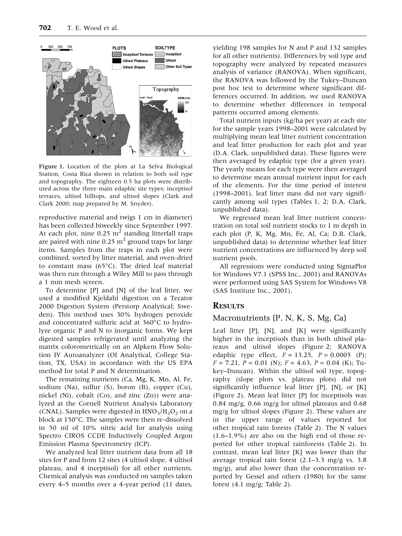

Figure 1. Location of the plots at La Selva Biological Station, Costa Rica shown in relation to both soil type and topography. The eighteen 0.5 ha plots were distributed across the three main edaphic site types: inceptisol terraces, ultisol hilltops, and ultisol slopes (Clark and Clark 2000; map prepared by M. Snyder).

reproductive material and twigs 1 cm in diameter) has been collected biweekly since September 1997. At each plot, nine  $0.25 \text{ m}^2$  standing litterfall traps are paired with nine 0.25  $m<sup>2</sup>$  ground traps for large items. Samples from the traps in each plot were combined, sorted by litter material, and oven-dried to constant mass  $(65^{\circ}C)$ . The dried leaf material was then run through a Wiley Mill to pass through a 1 mm mesh screen.

To determine [P] and [N] of the leaf litter, we used a modified Kjeldahl digestion on a Tecator 2000 Digestion System (Perstorp Analytical; Sweden). This method uses 30% hydrogen peroxide and concentrated sulfuric acid at  $360^{\circ}$ C to hydrolyze organic P and N to inorganic forms. We kept digested samples refrigerated until analyzing the matrix colorometrically on an Alpkem Flow Solution IV Autoanalyzer (OI Analytical, College Station, TX, USA) in accordance with the US EPA method for total P and N determination.

The remaining nutrients (Ca, Mg, K, Mn, Al, Fe, sodium (Na), sulfur (S), boron (B), copper (Cu), nickel (Ni), cobalt (Co), and zinc (Zn)) were analyzed at the Cornell Nutrient Analysis Laboratory (CNAL). Samples were digested in  $HNO<sub>3</sub>/H<sub>2</sub>O<sub>2</sub>$  on a block at  $150^{\circ}$ C. The samples were then re-dissolved in 50 ml of 10% nitric acid for analysis using Spectro CIROS CCDE Inductively Coupled Argon Emission Plasma Spectrometry (ICP).

We analyzed leaf litter nutrient data from all 18 sites for P and from 12 sites (4 ultisol slope, 4 ultisol plateau, and 4 inceptisol) for all other nutrients. Chemical analysis was conducted on samples taken every 4–5 months over a 4-year period (11 dates,

yielding 198 samples for N and P and 132 samples for all other nutrients). Differences by soil type and topography were analyzed by repeated measures analysis of variance (RANOVA). When significant, the RANOVA was followed by the Tukey–Duncan post hoc test to determine where significant differences occurred. In addition, we used RANOVA to determine whether differences in temporal patterns occurred among elements.

Total nutrient inputs (kg/ha per year) at each site for the sample years 1998–2001 were calculated by multiplying mean leaf litter nutrient concentration and leaf litter production for each plot and year (D.A. Clark, unpublished data). These figures were then averaged by edaphic type (for a given year). The yearly means for each type were then averaged to determine mean annual nutrient input for each of the elements. For the time period of interest (1998–2001), leaf litter mass did not vary significantly among soil types (Tables 1, 2; D.A. Clark, unpublished data).

We regressed mean leaf litter nutrient concentration on total soil nutrient stocks to 1 m depth in each plot (P, K, Mg, Mn, Fe, Al, Ca; D.B. Clark, unpublished data) to determine whether leaf litter nutrient concentrations are influenced by deep soil nutrient pools.

All regressions were conducted using SigmaPlot for Windows V7.1 (SPSS Inc., 2001) and RANOVAs were performed using SAS System for Windows V8 (SAS Institute Inc., 2001).

#### **RESULTS**

#### Macronutrients (P, N, K, S, Mg, Ca)

Leaf litter [P], [N], and [K] were significantly higher in the inceptisols than in both ultisol plateaus and ultisol slopes (Figure 2; RANOVA edaphic type effect,  $F = 13.25$ ,  $P = 0.0005$  (P);  $F = 7.21$ ,  $P = 0.01$  (N);  $F = 4.63$ ,  $P = 0.04$  (K); Tukey–Duncan). Within the ultisol soil type, topography (slope plots vs. plateau plots) did not significantly influence leaf litter [P], [N], or [K] (Figure 2). Mean leaf litter [P] for inceptisols was 0.84 mg/g, 0.66 mg/g for ultisol plateaus and 0.68 mg/g for ultisol slopes (Figure 2). These values are in the upper range of values reported for other tropical rain forests (Table 2). The N values (1.6–1.9%) are also on the high end of those reported for other tropical rainforests (Table 2). In contrast, mean leaf litter [K] was lower than the average tropical rain forest (2.1–3.3 mg/g vs. 3.8 mg/g), and also lower than the concentration reported by Gessel and others (1980) for the same forest  $(4.1 \text{ mg/g}$ ; Table 2).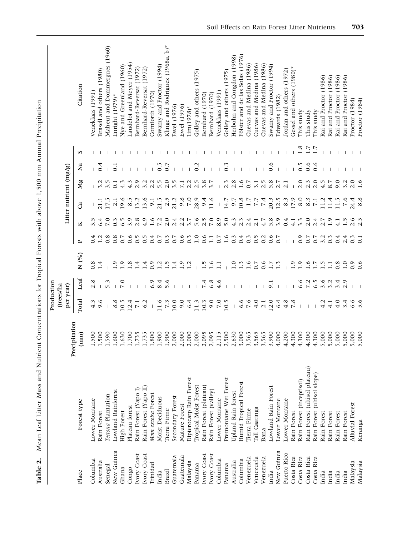|             |                               |                       | Production<br>(trees/ha |               |                      |                  |                   |                        |                   |                  |     |                                  |
|-------------|-------------------------------|-----------------------|-------------------------|---------------|----------------------|------------------|-------------------|------------------------|-------------------|------------------|-----|----------------------------------|
|             |                               | Precipitation         | per year)               |               |                      |                  |                   | Litter nutrient (mg/g) |                   |                  |     |                                  |
| Place       | Forest type                   | $\left( \min \right)$ | Total                   | Leaf          | $N($ % $)$           | $\mathbf{r}$     | ⊻                 | ී                      | Мg                | Ž                | S   | Citation                         |
| Columbia    | Lower Montane                 | 1,500                 | 4.3                     | 2.8           | 0.8                  | 0.4              | 3.5               |                        |                   |                  |     | Veneklaas (1991)                 |
| Australia   | Rain Forest                   | 1,500                 | 9.6                     |               | न<br>न               |                  | 6.4               | 21.1                   |                   | 0.4              |     | Brasell and others (1980)        |
| Senegal     | Tectona Plantation            | 1,590                 | $\mathbf{I}$            | 5.3           |                      | 0.8              | $\overline{7.0}$  | 17.5                   | 3.5               |                  |     | Maheut and Dommergues (1960)     |
| New Guinea  | <b>Lowland Rainforest</b>     | 1,600                 | 8.8                     |               | ؋                    | 0.8              | $0.\overline{3}$  | 2.1                    | $\overline{0}$ .  | ධ                |     | Enright (1979)*                  |
| Ghana       | <b>High Forest</b>            | 1,630                 | 10.5                    | 7.0           | $\ddot{\circ}$       | 0.7              | 6.5               | 0.6                    | 4.3               |                  |     | Nye and Greenland (1960)         |
| Congo       | Plateau forest                | 1,700                 | 12.4                    |               | $\ddot{\circ}$       | 0.6              | 3.9               | 8.5                    | $4.\overline{3}$  |                  |     | Laudelot and Meyer (1954)        |
| Ivory Coast | Rain Forest (Yapo I)          | 1,735                 | $\overline{7.1}$        |               | 4                    | 0.5              | 2.8               | 13.2                   | 2.9               |                  |     | Bernhard-Reversat (1972)         |
| Ivory Coast | Rain Forest (Yapo II)         | 1,735                 | 6.2                     |               | $\dot{\vec{r}}$      | 0.5              | 4.9               | 13.6                   | 3.2               |                  |     | Bernhard-Reversat (1972)         |
| Trinidad    | Mom excelsa Forest            | 1,800                 |                         | 6.9           | 0.9                  | 0.4              | 1.6               | 9.1                    | 2.2               |                  |     | Comforth (1970)                  |
| India       | Moist Deciduous               | 1,900                 | 11.6                    | 8.4           | Ņ                    | 0.7              | 7.2               | 21.5                   | 5.5               | 0.5              |     | Swamy and Proctor (1994)         |
| Brazil      | Tierra Firme                  | 1,900                 | $7.\overline{3}$        | 5.6           | ĩ.                   | $0.\overline{3}$ | 2.0               | 2.5                    | 2.0               | 0.7              |     | Klinge and Rodriguez (1968a, b)* |
| Guatemala   | Secondary Forest              | 2,000                 | 10.0                    |               | 4.                   | 0.7              | 2.4               | 21.2                   | 3.5               |                  |     | Ewel (1976)                      |
| Guatemala   | Mature Forest                 | 2,000                 | 9.0                     |               | $\circ$              | 0.6              | 2.2               | 9.8                    | $\overline{7.1}$  |                  |     | Ewel (1976)                      |
| Malaysia    | Dipterocarp Rain Forest       | 2,000                 | 6.4                     |               | Ņ                    | $0.\overline{3}$ | $\overline{3}$ .7 | 7.0                    | 2.2               |                  |     | $Lim(1978)*$                     |
| Panama      | <b>Tropical Moist Forest</b>  | 2,000                 | 11.3                    |               |                      | $\overline{1.0}$ | 5.6               | 28.9                   | 2.5               | $\overline{0.2}$ |     | Golley and others $(1975)$       |
| Ivory Coast | Rain Forest (plateau)         | 2,095                 | 10.3                    | 7.4           | r.                   | 0.6              | 2.5               | 9.4                    | 3.8               |                  |     | Bernhard (1970)                  |
| Ivory Coast | Rain Forest (valley)          | 2,095                 | 9.0                     | 6.8           | $\dot{\circ}$        | $\Box$           | 7.0               | 11.6                   | $\overline{3}$ .7 |                  |     | Bernhard (1970)                  |
| Columbia    | Lower Montane                 | 2,115                 | 7.0                     | 4.6           | Ξ.                   | 0.7              | 8.9               | $\mathbf{I}$           |                   |                  |     | Veneklaas (1991)                 |
| Panama      | Premontane Wet Forest         | 2,500                 | 10.5                    |               |                      | 1.6              | 5.0               | 14.7                   |                   | $\rm \ddot{o}$   |     | Golley and others (1975)         |
| Australia   | Upland Rain forest            | 2,630                 | $\mathsf I$             |               | Q                    | $0.\overline{3}$ | 4.3               | 9.7                    | 2.8               |                  |     | Herbohn and Congdon (1998)       |
| Columbia    | Humid Tropical Forest         | 3,000                 | 6.6                     |               | Ċ,                   | 0.4              | $2.\overline{3}$  | 10.8                   | 1.6               |                  |     | Fölster and de las Solas (1976)  |
| Venezuela   | Tierra Firme                  | 3,565                 | 7.6                     |               | ò.                   | $0.\overline{3}$ | $\frac{4}{3}$     | 7.7<br>7.7             | 0.7               |                  |     | Cuevas and Medina (1986)         |
| Venezuela   | Tall Caatinga                 | 3,565                 | 4.0                     |               | $\overline{C}$       | 0.5              | 2.1               |                        | 3.1               |                  |     | Cuevas and Medina (1986)         |
| Venezuela   | Bana                          | 3,565                 | 2.1                     |               | 0.6                  | 0.2              | 4.7               | 7.4                    | 2.5               |                  |     | Cuevas and Medina (1986)         |
| India       | Lowland Rain Forest           | 3,900                 | 12.0                    | 5             | $\ddot{ }$           | 0.6              | 5.8               | 20.3                   | 5.8               | 0.6              |     | Swamy and Proctor (1994)         |
| New Guinea  | Lower Montane                 | 4,000                 | 6.4                     |               | $\tilde{\mathbf{C}}$ | 0.7              | 3.9               | 12.5                   | 2.7               |                  |     | Edwards (1982)                   |
| Puerto Rico | Lower Montane                 | 4,200                 | 4.8                     |               |                      |                  | 0.4               | 8.3                    | 2.1               |                  |     | Jordan and others (1972)         |
| Costa Rica  | Rain Forest                   | 4,300                 | 7.8                     |               | 0.                   |                  | 4.1               | 17.9                   |                   |                  |     | Gessel and others (1980)*        |
| Costa Rica  | Rain Forest (inceptisol)      | 4,300                 | $\overline{1}$          | 6.6           | $\ddot{\cdot}$       | 0.9              | 3.3               | 8.0                    | 2.0               | 0.5              |     | This study                       |
| Costa Rica  | Rain Forest (ultisol plateau) | 4,300                 |                         | 7.2           | ë ü                  | 0.7              | 2.0               | 8.3                    | $2.\overline{3}$  | 0.6              | 1.7 | This study                       |
| Costa Rica  | Rain Forest (ultisol slope)   | 4,300                 |                         | 6.5           |                      | 0.7              | 2.4               | $\overline{7.1}$       | 2.0               | 0.6              | 1.7 | This study                       |
| India       | Rain Forest                   | 5,000                 | 4.2                     | 3.6           | $\ddot{\cdot}$       | 3.2              | 2.7               | 11.2                   | 4.5               |                  |     | Rai and Proctor (1986)           |
| India       | Rain Forest                   | 5,000                 | 4.1                     | $\ddot{3}$ .2 | $\Xi$                | $0.\overline{3}$ | $\ddot{0}$        | 11.4                   | 8.7               |                  |     | Rai and Proctor (1986)           |
| India       | Rain Forest                   | 5,000                 | 4.0                     | 3.4           | $0.\overline{8}$     | 0.4              | 4.1               | 1.5                    | 9.0               |                  |     | Rai and Proctor (1986)           |
| India       | Rain Forest                   | 5,000                 | 3.4                     | 2.9           | $\overline{1.0}$     | 2.4              | 1.5               | 7.6                    | 3.2               |                  |     | (1986)<br>Rai and Proctor        |
| Malaysia    | <b>Alluvial Forest</b>        | 5,000                 | 6.6                     |               | 0.9                  | $\frac{3}{2}$    | 2.6               | 24.4                   | 2.0               |                  |     | Proctor (1984)                   |
| Malaysia    | Keranga                       | 5,000                 |                         |               | 0.6                  | $\overline{C}$   |                   | 8.8                    | 1.6               |                  |     | Proctor (1984)                   |

Table 2. Mean Leaf Litter Mass and Nutrient Concentrations for Tropical Forests with above 1,500 mm Annual Precipitation

Table 2. Mean Leaf Litter Mass and Nutrient Concentrations for Tropical Forests with above 1,500 mm Annual Precipitation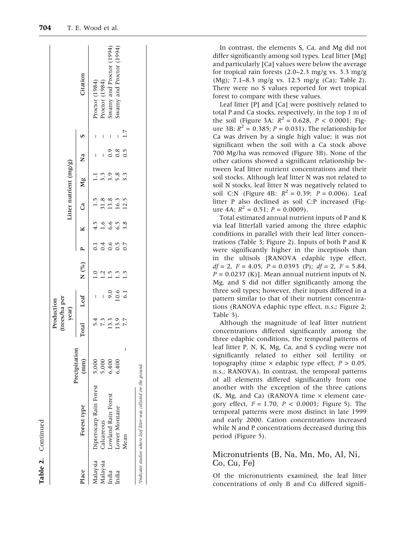್ಗ

|          |                         |                       | (trees/ha per<br>Production<br>year) |                |                  |                      |                                      |                                                    | Litter nutrient (mg/g)  |                |                          |                                                      |
|----------|-------------------------|-----------------------|--------------------------------------|----------------|------------------|----------------------|--------------------------------------|----------------------------------------------------|-------------------------|----------------|--------------------------|------------------------------------------------------|
| Place    | Forest type             | Precipitation<br>(mm) | Total                                | Leaf           | $N($ %) P        |                      |                                      | $K$ Ca Mg                                          |                         | $\overline{a}$ | $\mathbf{v}$             | Citation                                             |
| Malaysia | Dipterocarp Rain Forest | 5,000                 |                                      |                | $\overline{1.0}$ |                      |                                      |                                                    |                         |                |                          | Proctor (1984)                                       |
| Malaysia | Calcareous              | 5,000                 |                                      | $\overline{1}$ | 1.5              |                      |                                      |                                                    |                         |                | I                        | Proctor (1984)                                       |
| ndia     | Lowland Rain Forest     | 6,400                 | 5.4<br>7.3.3<br>7.7<br>7.7           | $0.6$<br>10.6  |                  | $-14657$<br>$-0.500$ | $4.5$<br>$4.6$ 6 5 7 8<br>$-6$ 6 7 8 | $1.5$<br>$3.8$<br>$1.3$<br>$1.5$<br>$1.5$<br>$1.5$ | 11 30 80<br>11 30 80 90 |                | $\overline{\phantom{a}}$ | Swamy and Proctor (1994)<br>Swamy and Proctor (1994) |
| India    | Lower Montane           | 6,400                 |                                      |                | 1.3              |                      |                                      |                                                    |                         | 0.800000       |                          |                                                      |
|          | Mean                    | I                     |                                      |                |                  |                      |                                      |                                                    |                         |                | 1.7                      |                                                      |

In contrast, the elements S, Ca, and Mg did not differ significantly among soil types. Leaf litter [Mg] and particularly [Ca] values were below the average for tropical rain forests (2.0–2.3 mg/g vs. 3.3 mg/g (Mg); 7.1–8.3 mg/g vs. 12.5 mg/g (Ca); Table 2). There were no S values reported for wet tropical forest to compare with these values.

Leaf litter [P] and [Ca] were positively related to total P and Ca stocks, respectively, in the top 1 m of the soil (Figure 3A:  $R^2 = 0.628$ ,  $P < 0.0001$ ; Figure 3B:  $R^2 = 0.385$ ;  $P = 0.031$ ). The relationship for Ca was driven by a single high value; it was not significant when the soil with a Ca stock above 700 Mg/ha was removed (Figure 3B). None of the other cations showed a significant relationship between leaf litter nutrient concentrations and their soil stocks. Although leaf litter N was not related to soil N stocks, leaf litter N was negatively related to soil C:N (Figure 4B:  $R^2 = 0.39$ ;  $P = 0.006$ ). Leaf litter P also declined as soil C:P increased (Figure 4A:  $R^2 = 0.51$ ;  $P = 0.0009$ ).

Total estimated annual nutrient inputs of P and K via leaf litterfall varied among the three edaphic conditions in parallel with their leaf litter concentrations (Table 3; Figure 2). Inputs of both P and K were significantly higher in the inceptisols than in the ultisols [RANOVA edaphic type effect,  $df = 2$ ,  $F = 4.05$ ,  $P = 0.0393$  (P);  $df = 2$ ,  $F = 5.84$ ,  $P = 0.0237$  (K)]. Mean annual nutrient inputs of N, Mg, and S did not differ significantly among the three soil types; however, their inputs differed in a pattern similar to that of their nutrient concentrations (RANOVA edaphic type effect, n.s.; Figure 2; Table 3).

Although the magnitude of leaf litter nutrient concentrations differed significantly among the three edaphic conditions, the temporal patterns of leaf litter P, N, K, Mg, Ca, and S cycling were not significantly related to either soil fertility or topography (time  $\times$  edaphic type effect,  $P > 0.05$ , n.s.; RANOVA). In contrast, the temporal patterns of all elements differed significantly from one another with the exception of the three cations  $(K, Mg, and Ca)$  (RANOVA time  $\times$  element category effect,  $F = 1.70$ ,  $P < 0.0001$ ; Figure 5). The temporal patterns were most distinct in late 1999 and early 2000. Cation concentrations increased while N and P concentrations decreased during this period (Figure 5).

Micronutrients (B, Na, Mn, Mo, Al, Ni, Co, Cu, Fe)

Of the micronutrients examined, the leaf litter concentrations of only B and Cu differed signifi-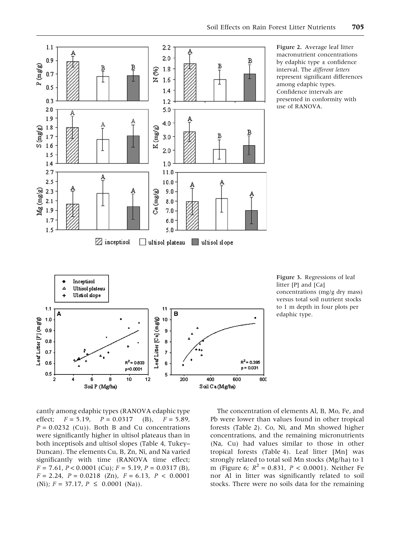

Figure 2. Average leaf litter macronutrient concentrations by edaphic type  $\pm$  confidence interval. The different letters represent significant differences among edaphic types. Confidence intervals are presented in conformity with use of RANOVA.

Figure 3. Regressions of leaf litter [P] and [Ca] concentrations (mg/g dry mass) versus total soil nutrient stocks to 1 m depth in four plots per edaphic type.

cantly among edaphic types (RANOVA edaphic type effect;  $F = 5.19$ ,  $P = 0.0317$  (B),  $F = 5.89$ ,  $P = 0.0232$  (Cu)). Both B and Cu concentrations were significantly higher in ultisol plateaus than in both inceptisols and ultisol slopes (Table 4, Tukey– Duncan). The elements Cu, B, Zn, Ni, and Na varied significantly with time (RANOVA time effect;  $F = 7.61, P < 0.0001$  (Cu);  $F = 5.19, P = 0.0317$  (B),  $F = 2.24$ ,  $P = 0.0218$  (Zn),  $F = 6.13$ ,  $P < 0.0001$ (Ni);  $F = 37.17$ ,  $P \le 0.0001$  (Na)).

The concentration of elements Al, B, Mo, Fe, and Pb were lower than values found in other tropical forests (Table 2). Co, Ni, and Mn showed higher concentrations, and the remaining micronutrients (Na, Cu) had values similar to those in other tropical forests (Table 4). Leaf litter [Mn] was strongly related to total soil Mn stocks (Mg/ha) to 1 m (Figure 6;  $R^2 = 0.831$ ,  $P < 0.0001$ ). Neither Fe nor Al in litter was significantly related to soil stocks. There were no soils data for the remaining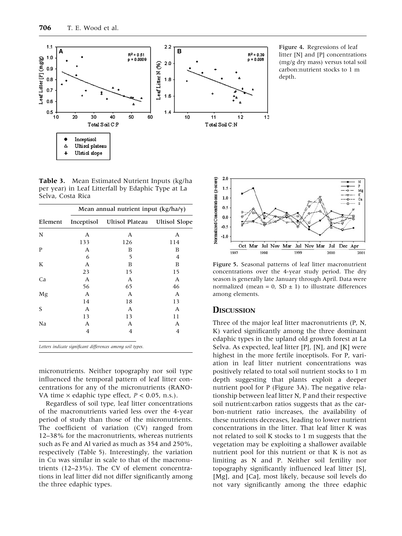

Figure 4. Regressions of leaf litter [N] and [P] concentrations (mg/g dry mass) versus total soil carbon:nutrient stocks to 1 m depth.

Table 3. Mean Estimated Nutrient Inputs (kg/ha per year) in Leaf Litterfall by Edaphic Type at La Selva, Costa Rica

|         | Mean annual nutrient input (kg/ha/y) |                                          |     |  |  |  |  |
|---------|--------------------------------------|------------------------------------------|-----|--|--|--|--|
| Element |                                      | Inceptisol Ultisol Plateau Ultisol Slope |     |  |  |  |  |
| N       | А                                    | А                                        | A   |  |  |  |  |
|         | 133                                  | 126                                      | 114 |  |  |  |  |
| P       | А                                    | В                                        | В   |  |  |  |  |
|         | 6                                    | 5                                        | 4   |  |  |  |  |
| K       | A                                    | B                                        | B   |  |  |  |  |
|         | 23                                   | 15                                       | 15  |  |  |  |  |
| Ca      | А                                    | А                                        | A   |  |  |  |  |
|         | 56                                   | 65                                       | 46  |  |  |  |  |
| Mg      | А                                    | А                                        | А   |  |  |  |  |
|         | 14                                   | 18                                       | 13  |  |  |  |  |
| S       | A                                    | А                                        | A   |  |  |  |  |
|         | 13                                   | 13                                       | 11  |  |  |  |  |
| Na      | A                                    | А                                        | A   |  |  |  |  |
|         | 4                                    | 4                                        | 4   |  |  |  |  |

micronutrients. Neither topography nor soil type influenced the temporal pattern of leaf litter concentrations for any of the micronutrients (RANO-VA time  $\times$  edaphic type effect,  $P < 0.05$ , n.s.).

Regardless of soil type, leaf litter concentrations of the macronutrients varied less over the 4-year period of study than those of the micronutrients. The coefficient of variation (CV) ranged from 12–38% for the macronutrients, whereas nutrients such as Fe and Al varied as much as 354 and 250%, respectively (Table 5). Interestingly, the variation in Cu was similar in scale to that of the macronutrients (12–23%). The CV of element concentrations in leaf litter did not differ significantly among the three edaphic types.



Figure 5. Seasonal patterns of leaf litter macronutrient concentrations over the 4-year study period. The dry season is generally late January through April. Data were normalized (mean = 0, SD  $\pm$  1) to illustrate differences among elements.

#### **DISCUSSION**

Three of the major leaf litter macronutrients (P, N, K) varied significantly among the three dominant edaphic types in the upland old growth forest at La Selva. As expected, leaf litter [P], [N], and [K] were highest in the more fertile inceptisols. For P, variation in leaf litter nutrient concentrations was positively related to total soil nutrient stocks to 1 m depth suggesting that plants exploit a deeper nutrient pool for P (Figure 3A). The negative relationship between leaf litter N, P and their respective soil nutrient:carbon ratios suggests that as the carbon-nutrient ratio increases, the availability of these nutrients decreases, leading to lower nutrient concentrations in the litter. That leaf litter K was not related to soil K stocks to 1 m suggests that the vegetation may be exploiting a shallower available nutrient pool for this nutrient or that K is not as limiting as N and P. Neither soil fertility nor topography significantly influenced leaf litter [S], [Mg], and [Ca], most likely, because soil levels do not vary significantly among the three edaphic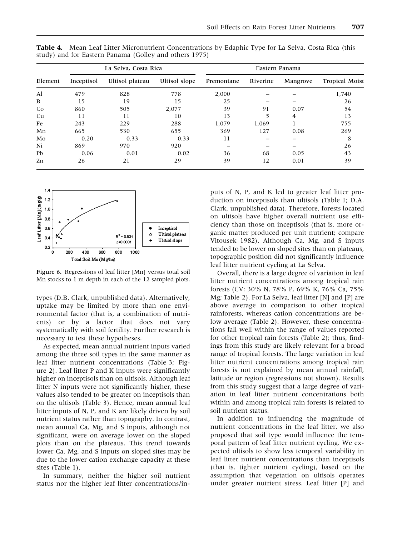|         |            | La Selva, Costa Rica |               |            | Eastern Panama |          |                       |
|---------|------------|----------------------|---------------|------------|----------------|----------|-----------------------|
| Element | Inceptisol | Ultisol plateau      | Ultisol slope | Premontane | Riverine       | Mangrove | <b>Tropical Moist</b> |
| Al      | 479        | 828                  | 778           | 2,000      |                |          | 1,740                 |
| B       | 15         | 19                   | 15            | 25         |                |          | 26                    |
| Co      | 860        | 505                  | 2,077         | 39         | 91             | 0.07     | 54                    |
| Cu      | 11         | 11                   | 10            | 13         | 5              | 4        | 13                    |
| Fe      | 243        | 229                  | 288           | 1,079      | 1,069          |          | 755                   |
| Mn      | 665        | 530                  | 655           | 369        | 127            | 0.08     | 269                   |
| Mo      | 0.20       | 0.33                 | 0.33          | 11         |                |          | 8                     |
| Ni      | 869        | 970                  | 920           |            |                |          | 26                    |
| Pb      | 0.06       | 0.01                 | 0.02          | 36         | 68             | 0.05     | 43                    |
| Zn      | 26         | 21                   | 29            | 39         | 12             | 0.01     | 39                    |

Table 4. Mean Leaf Litter Micronutrient Concentrations by Edaphic Type for La Selva, Costa Rica (this study) and for Eastern Panama (Golley and others 1975)



Figure 6. Regressions of leaf litter [Mn] versus total soil Mn stocks to 1 m depth in each of the 12 sampled plots.

types (D.B. Clark, unpublished data). Alternatively, uptake may be limited by more than one environmental factor (that is, a combination of nutrients) or by a factor that does not vary systematically with soil fertility. Further research is necessary to test these hypotheses.

As expected, mean annual nutrient inputs varied among the three soil types in the same manner as leaf litter nutrient concentrations (Table 3; Figure 2). Leaf litter P and K inputs were significantly higher on inceptisols than on ultisols. Although leaf litter N inputs were not significantly higher, these values also tended to be greater on inceptisols than on the ultisols (Table 3). Hence, mean annual leaf litter inputs of N, P, and K are likely driven by soil nutrient status rather than topography. In contrast, mean annual Ca, Mg, and S inputs, although not significant, were on average lower on the sloped plots than on the plateaus. This trend towards lower Ca, Mg, and S inputs on sloped sites may be due to the lower cation exchange capacity at these sites (Table 1).

In summary, neither the higher soil nutrient status nor the higher leaf litter concentrations/inputs of N, P, and K led to greater leaf litter production on inceptisols than ultisols (Table 1; D.A. Clark, unpublished data). Therefore, forests located on ultisols have higher overall nutrient use efficiency than those on inceptisols (that is, more organic matter produced per unit nutrient; compare Vitousek 1982). Although Ca, Mg, and S inputs tended to be lower on sloped sites than on plateaus, topographic position did not significantly influence leaf litter nutrient cycling at La Selva.

Overall, there is a large degree of variation in leaf litter nutrient concentrations among tropical rain forests (CV: 30% N, 78% P, 69% K, 76% Ca, 75% Mg; Table 2). For La Selva, leaf litter [N] and [P] are above average in comparison to other tropical rainforests, whereas cation concentrations are below average (Table 2). However, these concentrations fall well within the range of values reported for other tropical rain forests (Table 2); thus, findings from this study are likely relevant for a broad range of tropical forests. The large variation in leaf litter nutrient concentrations among tropical rain forests is not explained by mean annual rainfall, latitude or region (regressions not shown). Results from this study suggest that a large degree of variation in leaf litter nutrient concentrations both within and among tropical rain forests is related to soil nutrient status.

In addition to influencing the magnitude of nutrient concentrations in the leaf litter, we also proposed that soil type would influence the temporal pattern of leaf litter nutrient cycling. We expected ultisols to show less temporal variability in leaf litter nutrient concentrations than inceptisols (that is, tighter nutrient cycling), based on the assumption that vegetation on ultisols operates under greater nutrient stress. Leaf litter [P] and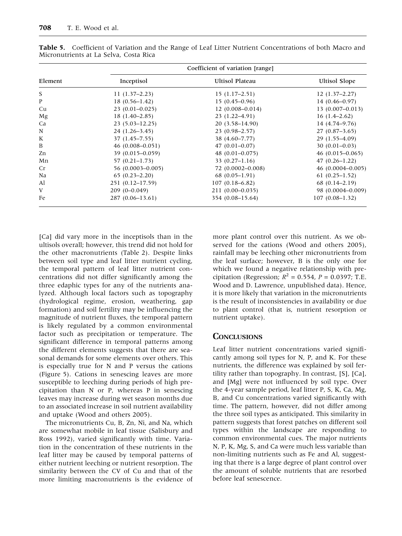|         |                     | Coefficient of variation [range] |                      |
|---------|---------------------|----------------------------------|----------------------|
| Element | Inceptisol          | Ultisol Plateau                  | <b>Ultisol Slope</b> |
| S       | $11(1.37-2.23)$     | $15(1.17-2.51)$                  | $12(1.37-2.27)$      |
| P       | $18(0.56 - 1.42)$   | $15(0.45-0.96)$                  | $14(0.46 - 0.97)$    |
| Cu      | $23(0.01 - 0.025)$  | $12(0.008 - 0.014)$              | $13(0.007-0.013)$    |
| Mg      | $18(1.40-2.85)$     | $23(1.22 - 4.91)$                | $16(1.4-2.62)$       |
| Ca      | $23(5.03 - 12.25)$  | $20(3.58 - 14.90)$               | 14 (4.74–9.76)       |
| N       | $24(1.26-3.45)$     | $23(0.98-2.57)$                  | $27(0.87-3.65)$      |
| K       | $37(1.45 - 7.55)$   | 38 (4.60-7.77)                   | $29(1.55-4.09)$      |
| B       | $46(0.008 - 0.051)$ | $47(0.01 - 0.07)$                | $30(0.01-0.03)$      |
| Zn      | $39(0.015 - 0.059)$ | $48(0.01 - 0.075)$               | $46(0.015-0.065)$    |
| Mn      | $57(0.21 - 1.73)$   | 33 $(0.27-1.16)$                 | $47(0.26 - 1.22)$    |
| Cr      | 56 (0.0003-0.005)   | 72 (0.0002-0.008)                | $46(0.0004 - 0.005)$ |
| Na      | $65(0.23 - 2.20)$   | $68(0.05-1.91)$                  | $61(0.25-1.52)$      |
| Al      | 251 (0.12–17.59)    | $107(0.18 - 6.82)$               | $68(0.14 - 2.19)$    |
| V       | $209(0-0.049)$      | $211(0.00-0.035)$                | 98 (0.0004-0.009)    |
| Fe      | $287(0.06-13.61)$   | 354 (0.08–15.64)                 | $107(0.08-1.32)$     |

Table 5. Coefficient of Variation and the Range of Leaf Litter Nutrient Concentrations of both Macro and Micronutrients at La Selva, Costa Rica

[Ca] did vary more in the inceptisols than in the ultisols overall; however, this trend did not hold for the other macronutrients (Table 2). Despite links between soil type and leaf litter nutrient cycling, the temporal pattern of leaf litter nutrient concentrations did not differ significantly among the three edaphic types for any of the nutrients analyzed. Although local factors such as topography (hydrological regime, erosion, weathering, gap formation) and soil fertility may be influencing the magnitude of nutrient fluxes, the temporal pattern is likely regulated by a common environmental factor such as precipitation or temperature. The significant difference in temporal patterns among the different elements suggests that there are seasonal demands for some elements over others. This is especially true for N and P versus the cations (Figure 5). Cations in senescing leaves are more susceptible to leeching during periods of high precipitation than N or P, whereas P in senescing leaves may increase during wet season months due to an associated increase in soil nutrient availability and uptake (Wood and others 2005).

The micronutrients Cu, B, Zn, Ni, and Na, which are somewhat mobile in leaf tissue (Salisbury and Ross 1992), varied significantly with time. Variation in the concentration of these nutrients in the leaf litter may be caused by temporal patterns of either nutrient leeching or nutrient resorption. The similarity between the CV of Cu and that of the more limiting macronutrients is the evidence of more plant control over this nutrient. As we observed for the cations (Wood and others 2005), rainfall may be leeching other micronutrients from the leaf surface; however, B is the only one for which we found a negative relationship with precipitation (Regression;  $R^2 = 0.554$ ,  $P = 0.0397$ ; T.E. Wood and D. Lawrence, unpublished data). Hence, it is more likely that variation in the micronutrients is the result of inconsistencies in availability or due to plant control (that is, nutrient resorption or nutrient uptake).

#### **CONCLUSIONS**

Leaf litter nutrient concentrations varied significantly among soil types for N, P, and K. For these nutrients, the difference was explained by soil fertility rather than topography. In contrast, [S], [Ca], and [Mg] were not influenced by soil type. Over the 4-year sample period, leaf litter P, S, K, Ca, Mg, B, and Cu concentrations varied significantly with time. The pattern, however, did not differ among the three soil types as anticipated. This similarity in pattern suggests that forest patches on different soil types within the landscape are responding to common environmental cues. The major nutrients N, P, K, Mg, S, and Ca were much less variable than non-limiting nutrients such as Fe and Al, suggesting that there is a large degree of plant control over the amount of soluble nutrients that are resorbed before leaf senescence.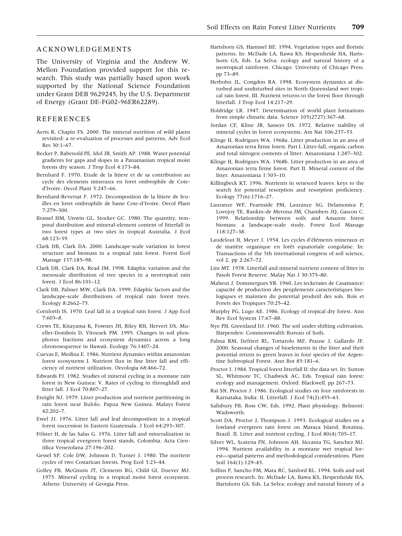#### ACKNOWLEDGEMENTS

The University of Virginia and the Andrew W. Mellon Foundation provided support for this research. This study was partially based upon work supported by the National Science Foundation under Grant DEB 9629245, by the U.S. Department of Energy (Grant DE-FG02-96ER62289).

#### REFERENCES

- Aerts R, Chapin FS. 2000. The mineral nutrition of wild plants revisited: a re-evaluation of processes and patterns. Adv Ecol  $Res 30.1 - 67$
- Becker P, Rabenold PE, Idol JR, Smith AP. 1988. Water potential gradients for gaps and slopes in a Panamanian tropical moist forests dry season. J Trop Ecol 4:173–84.
- Bernhard F. 1970. Etude de la litiere et de sa contribution au cycle des elements mineraux en foret ombrophile de Coted'lvoire. Oecol Plant 5:247–66.
- Bernhard-Reversat F. 1972. Decomposition de la litiere de feuilles en foret ombrophile de basse Cote-d'Ivoire. Oecol Plant 7:279–300.
- Brassel HM, Unwin GL, Stocker GC. 1980. The quantity, temporal distribution and mineral-element content of litterfall in two forest types at two sites in tropical Australia. J Ecol 68:123–39.
- Clark DB, Clark DA. 2000. Landscape-scale variation in forest structure and biomass in a tropical rain forest. Forest Ecol Manage 137:185–98.
- Clark DB, Clark DA, Read JM. 1998. Edaphic variation and the mesoscale distribution of tree species in a neotropical rain forest. J Ecol 86:101–12.
- Clark DB, Palmer MW, Clark DA. 1999. Edaphic factors and the landscape-scale distributions of tropical rain forest trees. Ecology 8:2662–75.
- Cornforth IS. 1970. Leaf fall in a tropical rain forest. J App Ecol 7:603–8.
- Crews TE, Kitayama K, Fownes JH, Riley RH, Hervert DS, Mueller-Dombois D, Vitousek PM. 1995. Changes in soil phosphorus fractions and ecosystem dynamics across a long chronosequence in Hawaii. Ecology 76:1407–24.
- Cuevas E, Medina E. 1986. Nutrient dynamics within amazonian forest ecosystems I. Nutrient flux in fine litter fall and efficiency of nutrient utilization. Oecologia 68:466–72.
- Edwards PJ. 1982. Studies of mineral cycling in a montane rain forest in New Guinea: V. Rates of cycling in throughfall and litter fall. J Ecol 70:807–27.
- Enright NJ. 1979. Litter production and nutrient partitioning in rain forest near Bulolo, Papua New Guinea. Malays Forest 42:202–7.
- Ewel JJ. 1976. Litter fall and leaf decomposition in a tropical forest succession in Eastern Guatemala. J Ecol 64:293–307.
- Fölster H, de las Salas G. 1976. Litter fall and mineralization in three tropical evergreen forest stands, Colombia. Acta Cientifica Venezolana 27:196–202.
- Gessel SP, Cole DW, Johnson D, Turner J. 1980. The nutrient cycles of two Costarican forests. Prog Ecol 3:23–44.
- Golley FB, McGinnis JT, Clements RG, Child GI, Duever MJ. 1975. Mineral cycling in a tropical moist forest ecosystem. Athens: University of Georgia Press.
- Hartshorn GS, Hammel BE. 1994. Vegetation types and floristic patterns. In: McDade LA, Bawa KS, Hespenheide HA, Hartshorn GS, Eds. La Selva: ecology and natural history of a neotropical rainforest. Chicago: University of Chicago Press. pp 73–89.
- Herbohn JL, Congdon RA. 1998. Ecosystem dynamics at disturbed and undisturbed sites in North Queensland wet tropical rain forest. III. Nutrient returns to the forest floor through litterfall. J Trop Ecol 14:217–29.
- Holdridge LR. 1947. Determination of world plant formations from simple climatic data. Science 105(2727):367–68.
- Jordan CF, Kline JR, Sasscer DS. 1972. Relative stability of mineral cycles in forest ecosystems. Am Nat 106:237–53.
- Klinge H, Rodrigues WA. 1968a. Litter production in an area of Amazonian terra firme forest. Part I. Litter-fall, organic carbon and total nitrogen contents of litter. Amazoniana 1:287–302.
- Klinge H, Rodrigues WA. 1968b. Litter production in an area of Amazonian terra firme forest. Part II. Mineral content of the litter. Amazoniana 1:303–10.
- Killingbeck KT. 1996. Nutrients in senesced leaves: keys to the search for potential resorption and resorption proficiency. Ecology 77(6):1716–27.
- Laurance WF, Fearnside PM, Laurance SG, Delamonica P, Lovejoy TE, Rankin-de Merona JM, Chambers JQ, Gascon C. 1999. Relationship between soils and Amazon forest biomass: a landscape-scale study. Forest Ecol Manage 118:127–38.
- Laudelout H, Meyer J. 1954. Les cycles d'éléments mineraux et de matière organique en forêt equatoriale congolaise. In: Transactions of the 5th international congress of soil science, vol 2, pp 2:267–72.
- Lim MT. 1978. Litterfall and mineral nutrient content of litter in Pasoh Forest Reserve. Malay Nat J 30:375–80.
- Maheut J, Dommergues YR. 1960. Les teckeraies de Casamance: capacité de production des peuplements caracteristiques biologiques et maintien du potential produtif des sols. Bois et Forets des Tropiques 70:25–42.
- Murphy PG, Lugo AE. 1986. Ecology of tropical dry forest. Ann Rev Ecol System 17:67–88.
- Nye PH, Greenland DJ. 1960. The soil under shifting cultivation. Harpenden: Commonwealth Bureau of Soils.
- Palma RM, Defrieri RL, Tortarolo MF, Prause J, Gallardo JF. 2000. Seasonal changes of bioelements in the litter and their potential return to green leaves in four species of the Argentine Subtropical Forest. Ann Bot 85:181–6.
- Proctor J. 1984. Tropical forest litterfall II: the data set. In: Sutton SL, Whitmore TC, Chadwick AC, Eds. Tropical rain forest: ecology and management. Oxford: Blackwell. pp 267–73.
- Rai SN, Proctor J. 1986. Ecological studies on four rainforests in Karnataka, India: II. Litterfall. J Ecol 74(2):455–63.
- Salisbury FB, Ross CW, Eds. 1992. Plant physiology. Belmont: Wadsworth.
- Scott DA, Proctor J, Thompson J. 1993. Ecological studies on a lowland evergreen rain forest on Maraca Island, Roraima, Brazil. II. Litter and nutrient cycling. J Ecol 80(4):705–17.
- Silver WL, Scatena FN, Johnson AH, Siccama TG, Sanchez MJ. 1994. Nutrient availability in a montane wet tropical forest—spatial patterns and methodological considerations. Plant Soil 164(1):129–45.
- Sollins P, Sancho FM, Mata RC, Sanford RL. 1994. Soils and soil process research. In: McDade LA, Bawa KS, Hespenheide HA, Hartshorn GS, Eds. La Selva: ecology and natural history of a